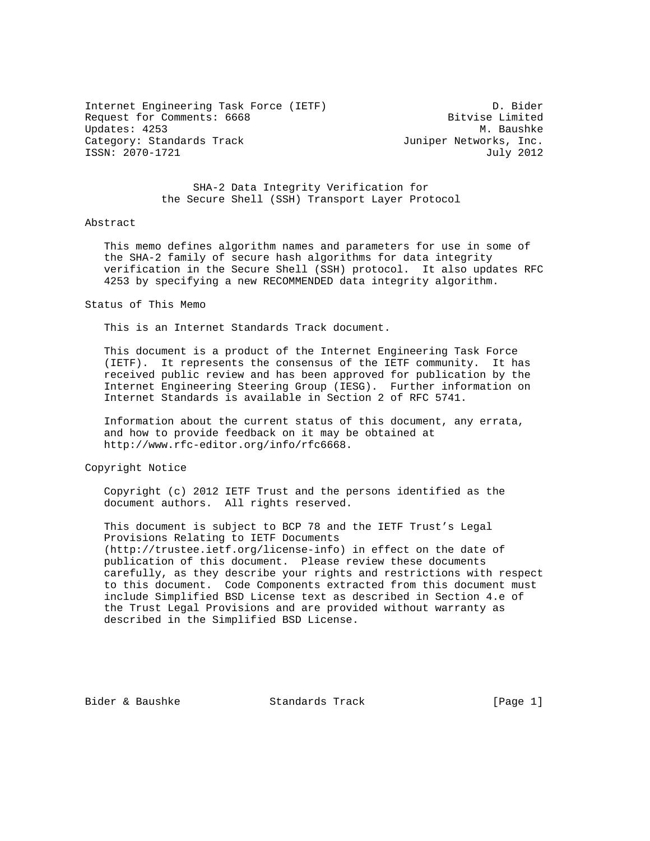Internet Engineering Task Force (IETF) D. Bider Request for Comments: 6668 Bitvise Limited Updates: 4253 M. Baushke Category: Standards Track and Suniper Networks, Inc. ISSN: 2070-1721 July 2012

 SHA-2 Data Integrity Verification for the Secure Shell (SSH) Transport Layer Protocol

## Abstract

 This memo defines algorithm names and parameters for use in some of the SHA-2 family of secure hash algorithms for data integrity verification in the Secure Shell (SSH) protocol. It also updates RFC 4253 by specifying a new RECOMMENDED data integrity algorithm.

Status of This Memo

This is an Internet Standards Track document.

 This document is a product of the Internet Engineering Task Force (IETF). It represents the consensus of the IETF community. It has received public review and has been approved for publication by the Internet Engineering Steering Group (IESG). Further information on Internet Standards is available in Section 2 of RFC 5741.

 Information about the current status of this document, any errata, and how to provide feedback on it may be obtained at http://www.rfc-editor.org/info/rfc6668.

Copyright Notice

 Copyright (c) 2012 IETF Trust and the persons identified as the document authors. All rights reserved.

 This document is subject to BCP 78 and the IETF Trust's Legal Provisions Relating to IETF Documents (http://trustee.ietf.org/license-info) in effect on the date of publication of this document. Please review these documents carefully, as they describe your rights and restrictions with respect to this document. Code Components extracted from this document must include Simplified BSD License text as described in Section 4.e of the Trust Legal Provisions and are provided without warranty as described in the Simplified BSD License.

Bider & Baushke Standards Track [Page 1]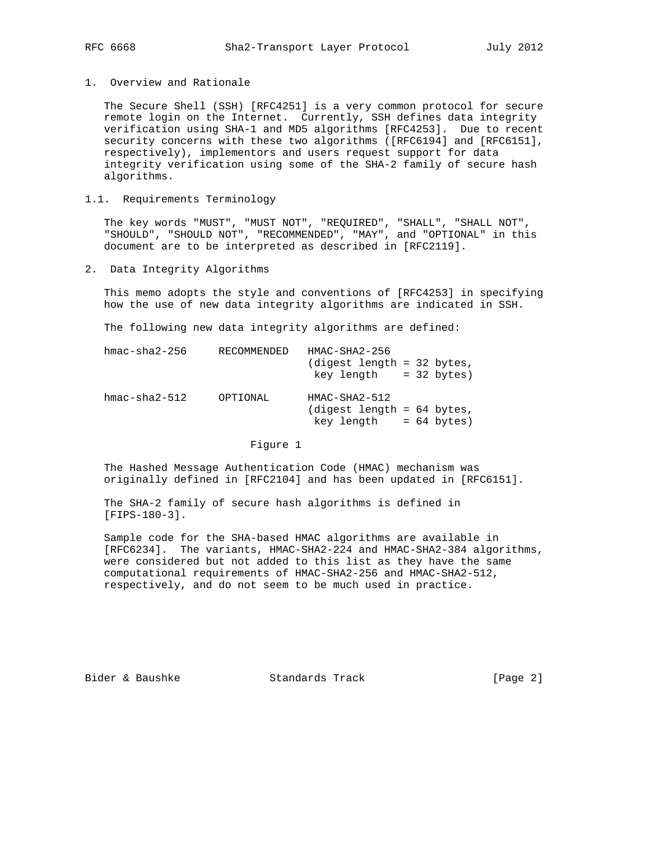1. Overview and Rationale

 The Secure Shell (SSH) [RFC4251] is a very common protocol for secure remote login on the Internet. Currently, SSH defines data integrity verification using SHA-1 and MD5 algorithms [RFC4253]. Due to recent security concerns with these two algorithms ([RFC6194] and [RFC6151], respectively), implementors and users request support for data integrity verification using some of the SHA-2 family of secure hash algorithms.

## 1.1. Requirements Terminology

 The key words "MUST", "MUST NOT", "REQUIRED", "SHALL", "SHALL NOT", "SHOULD", "SHOULD NOT", "RECOMMENDED", "MAY", and "OPTIONAL" in this document are to be interpreted as described in [RFC2119].

2. Data Integrity Algorithms

 This memo adopts the style and conventions of [RFC4253] in specifying how the use of new data integrity algorithms are indicated in SSH.

The following new data integrity algorithms are defined:

| $hmac - sha2-256$ | RECOMMENDED | $HMAC-SHA2-256$<br>(digest length = 32 bytes,<br>$key$ length = 32 bytes)   |
|-------------------|-------------|-----------------------------------------------------------------------------|
| $hmac - sha2-512$ | OPTIONAL    | $HMAC-SHA2-512$<br>$(digest length = 64 bytes,$<br>$key$ length = 64 bytes) |

## Figure 1

 The Hashed Message Authentication Code (HMAC) mechanism was originally defined in [RFC2104] and has been updated in [RFC6151].

 The SHA-2 family of secure hash algorithms is defined in [FIPS-180-3].

 Sample code for the SHA-based HMAC algorithms are available in [RFC6234]. The variants, HMAC-SHA2-224 and HMAC-SHA2-384 algorithms, were considered but not added to this list as they have the same computational requirements of HMAC-SHA2-256 and HMAC-SHA2-512, respectively, and do not seem to be much used in practice.

Bider & Baushke Standards Track [Page 2]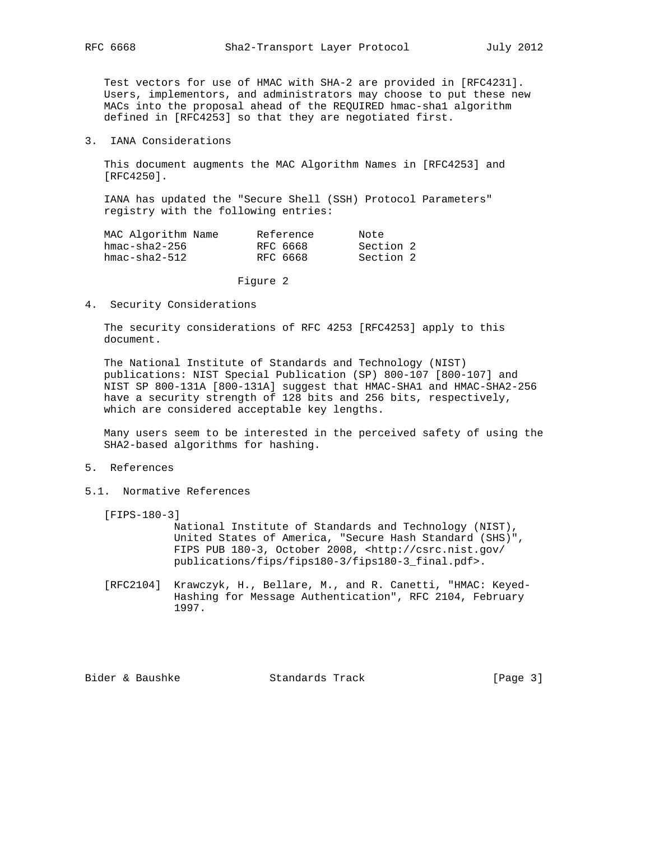Test vectors for use of HMAC with SHA-2 are provided in [RFC4231]. Users, implementors, and administrators may choose to put these new MACs into the proposal ahead of the REQUIRED hmac-sha1 algorithm defined in [RFC4253] so that they are negotiated first.

3. IANA Considerations

 This document augments the MAC Algorithm Names in [RFC4253] and [RFC4250].

 IANA has updated the "Secure Shell (SSH) Protocol Parameters" registry with the following entries:

| MAC Algorithm Name | Reference | Note      |
|--------------------|-----------|-----------|
| hmac-sha2-256      | RFC 6668  | Section 2 |
| hmac-sha2-512      | RFC 6668  | Section 2 |

Figure 2

4. Security Considerations

 The security considerations of RFC 4253 [RFC4253] apply to this document.

 The National Institute of Standards and Technology (NIST) publications: NIST Special Publication (SP) 800-107 [800-107] and NIST SP 800-131A [800-131A] suggest that HMAC-SHA1 and HMAC-SHA2-256 have a security strength of 128 bits and 256 bits, respectively, which are considered acceptable key lengths.

 Many users seem to be interested in the perceived safety of using the SHA2-based algorithms for hashing.

## 5. References

5.1. Normative References

[FIPS-180-3]

 National Institute of Standards and Technology (NIST), United States of America, "Secure Hash Standard (SHS)", FIPS PUB 180-3, October 2008, <http://csrc.nist.gov/ publications/fips/fips180-3/fips180-3\_final.pdf>.

 [RFC2104] Krawczyk, H., Bellare, M., and R. Canetti, "HMAC: Keyed- Hashing for Message Authentication", RFC 2104, February 1997.

Bider & Baushke Standards Track [Page 3]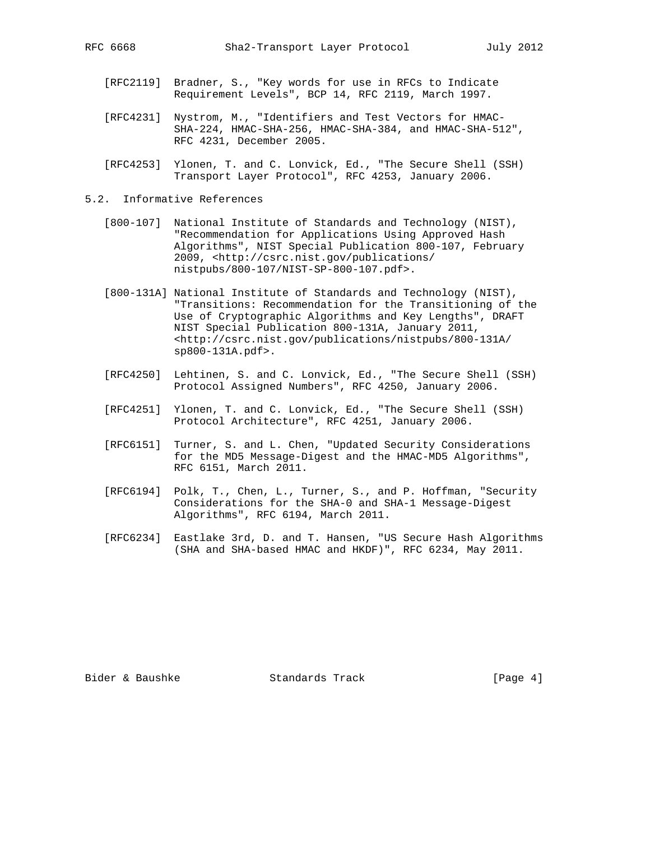- - [RFC2119] Bradner, S., "Key words for use in RFCs to Indicate Requirement Levels", BCP 14, RFC 2119, March 1997.
	- [RFC4231] Nystrom, M., "Identifiers and Test Vectors for HMAC- SHA-224, HMAC-SHA-256, HMAC-SHA-384, and HMAC-SHA-512", RFC 4231, December 2005.
	- [RFC4253] Ylonen, T. and C. Lonvick, Ed., "The Secure Shell (SSH) Transport Layer Protocol", RFC 4253, January 2006.
- 5.2. Informative References
	- [800-107] National Institute of Standards and Technology (NIST), "Recommendation for Applications Using Approved Hash Algorithms", NIST Special Publication 800-107, February 2009, <http://csrc.nist.gov/publications/ nistpubs/800-107/NIST-SP-800-107.pdf>.
	- [800-131A] National Institute of Standards and Technology (NIST), "Transitions: Recommendation for the Transitioning of the Use of Cryptographic Algorithms and Key Lengths", DRAFT NIST Special Publication 800-131A, January 2011, <http://csrc.nist.gov/publications/nistpubs/800-131A/ sp800-131A.pdf>.
	- [RFC4250] Lehtinen, S. and C. Lonvick, Ed., "The Secure Shell (SSH) Protocol Assigned Numbers", RFC 4250, January 2006.
	- [RFC4251] Ylonen, T. and C. Lonvick, Ed., "The Secure Shell (SSH) Protocol Architecture", RFC 4251, January 2006.
	- [RFC6151] Turner, S. and L. Chen, "Updated Security Considerations for the MD5 Message-Digest and the HMAC-MD5 Algorithms", RFC 6151, March 2011.
	- [RFC6194] Polk, T., Chen, L., Turner, S., and P. Hoffman, "Security Considerations for the SHA-0 and SHA-1 Message-Digest Algorithms", RFC 6194, March 2011.
	- [RFC6234] Eastlake 3rd, D. and T. Hansen, "US Secure Hash Algorithms (SHA and SHA-based HMAC and HKDF)", RFC 6234, May 2011.